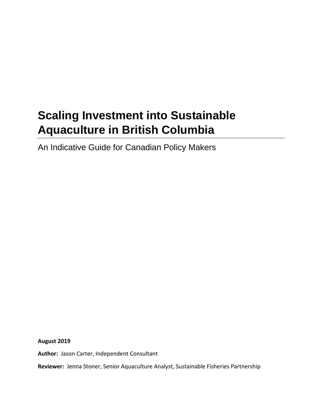# **Scaling Investment into Sustainable Aquaculture in British Columbia**

An Indicative Guide for Canadian Policy Makers

**August 2019**

**Author:** Jason Carter, Independent Consultant

**Reviewer:** Jenna Stoner, Senior Aquaculture Analyst, Sustainable Fisheries Partnership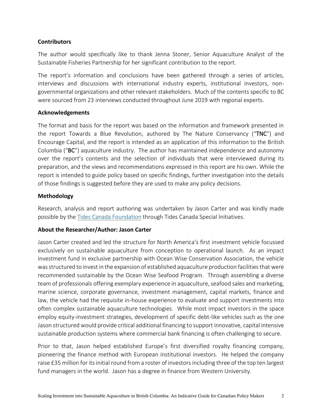#### **Contributors**

The author would specifically like to thank Jenna Stoner, Senior Aquaculture Analyst of the Sustainable Fisheries Partnership for her significant contribution to the report.

The report's information and conclusions have been gathered through a series of articles, interviews and discussions with international industry experts, institutional investors, nongovernmental organizations and other relevant stakeholders. Much of the contents specific to BC were sourced from 23 interviews conducted throughout June 2019 with regional experts.

#### **Acknowledgements**

The format and basis for the report was based on the information and framework presented in the report Towards a Blue Revolution, authored by The Nature Conservancy ("TNC") and Encourage Capital, and the report is intended as an application of this information to the British Columbia ("BC") aquaculture industry. The author has maintained independence and autonomy over the report's contents and the selection of individuals that were interviewed during its preparation, and the views and recommendations expressed in this report are his own. While the report is intended to guide policy based on specific findings, further investigation into the details of those findings is suggested before they are used to make any policy decisions.

#### **Methodology**

Research, analysis and report authoring was undertaken by Jason Carter and was kindly made possible by the [Tides Canada Foundation](https://tidescanada.org/) through Tides Canada Special Initiatives.

#### **About the Researcher/Author: Jason Carter**

Jason Carter created and led the structure for North America's first investment vehicle focussed exclusively on sustainable aquaculture from conception to operational launch. As an impact investment fund in exclusive partnership with Ocean Wise Conservation Association, the vehicle was structured to invest in the expansion of established aquaculture production facilities that were recommended sustainable by the Ocean Wise Seafood Program. Through assembling a diverse team of professionals offering exemplary experience in aquaculture, seafood sales and marketing, marine science, corporate governance, investment management, capital markets, finance and law, the vehicle had the requisite in-house experience to evaluate and support investments into often complex sustainable aquaculture technologies. While most impact investors in the space employ equity-investment strategies, development of specific debt-like vehicles such as the one Jason structured would provide critical additional financing to support innovative, capital intensive sustainable production systems where commercial bank financing is often challenging to secure.

Prior to that, Jason helped established Europe's first diversified royalty financing company, pioneering the finance method with European institutional investors. He helped the company raise £35 million for its initial round from a roster of investors including three of the top ten largest fund managers in the world. Jason has a degree in finance from Western University.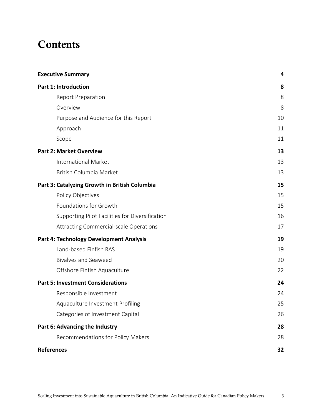## **Contents**

| <b>Executive Summary</b>                        | 4  |
|-------------------------------------------------|----|
| <b>Part 1: Introduction</b>                     | 8  |
| <b>Report Preparation</b>                       | 8  |
| Overview                                        | 8  |
| Purpose and Audience for this Report            | 10 |
| Approach                                        | 11 |
| Scope                                           | 11 |
| <b>Part 2: Market Overview</b>                  | 13 |
| <b>International Market</b>                     | 13 |
| British Columbia Market                         | 13 |
| Part 3: Catalyzing Growth in British Columbia   | 15 |
| Policy Objectives                               | 15 |
| Foundations for Growth                          | 15 |
| Supporting Pilot Facilities for Diversification | 16 |
| Attracting Commercial-scale Operations          | 17 |
| <b>Part 4: Technology Development Analysis</b>  | 19 |
| Land-based Finfish RAS                          | 19 |
| <b>Bivalves and Seaweed</b>                     | 20 |
| Offshore Finfish Aquaculture                    | 22 |
| <b>Part 5: Investment Considerations</b>        | 24 |
| Responsible Investment                          | 24 |
| Aquaculture Investment Profiling                | 25 |
| Categories of Investment Capital                | 26 |
| Part 6: Advancing the Industry                  | 28 |
| Recommendations for Policy Makers               | 28 |
| <b>References</b>                               | 32 |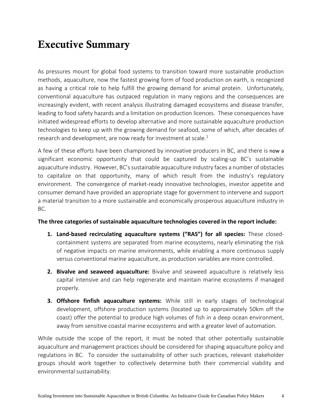## Executive Summary

As pressures mount for global food systems to transition toward more sustainable production methods, aquaculture, now the fastest growing form of food production on earth, is recognized as having a critical role to help fulfill the growing demand for animal protein. Unfortunately, conventional aquaculture has outpaced regulation in many regions and the consequences are increasingly evident, with recent analysis illustrating damaged ecosystems and disease transfer, leading to food safety hazards and a limitation on production licences. These consequences have initiated widespread efforts to develop alternative and more sustainable aquaculture production technologies to keep up with the growing demand for seafood, some of which, after decades of research and development, are now ready for investment at scale.<sup>1</sup>

A few of these efforts have been championed by innovative producers in BC, and there is now a significant economic opportunity that could be captured by scaling-up BC's sustainable aquaculture industry. However, BC's sustainable aquaculture industry faces a number of obstacles to capitalize on that opportunity, many of which result from the industry's regulatory environment. The convergence of market-ready innovative technologies, investor appetite and consumer demand have provided an appropriate stage for government to intervene and support a material transition to a more sustainable and economically prosperous aquaculture industry in BC.

#### **The three categories of sustainable aquaculture technologies covered in the report include:**

- **1. Land-based recirculating aquaculture systems ("RAS") for all species:** These closedcontainment systems are separated from marine ecosystems, nearly eliminating the risk of negative impacts on marine environments, while enabling a more continuous supply versus conventional marine aquaculture, as production variables are more controlled.
- **2. Bivalve and seaweed aquaculture:** Bivalve and seaweed aquaculture is relatively less capital intensive and can help regenerate and maintain marine ecosystems if managed properly.
- **3. Offshore finfish aquaculture systems:** While still in early stages of technological development, offshore production systems (located up to approximately 50km off the coast) offer the potential to produce high volumes of fish in a deep ocean environment, away from sensitive coastal marine ecosystems and with a greater level of automation.

While outside the scope of the report, it must be noted that other potentially sustainable aquaculture and management practices should be considered for shaping aquaculture policy and regulations in BC. To consider the sustainability of other such practices, relevant stakeholder groups should work together to collectively determine both their commercial viability and environmental sustainability.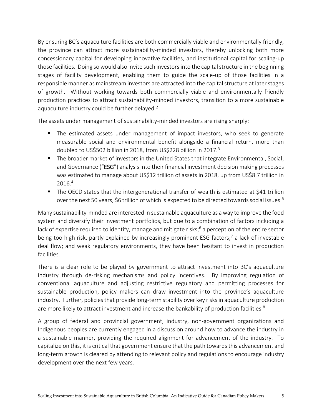By ensuring BC's aquaculture facilities are both commercially viable and environmentally friendly, the province can attract more sustainability-minded investors, thereby unlocking both more concessionary capital for developing innovative facilities, and institutional capital for scaling-up those facilities. Doing so would also invite such investors into the capital structure in the beginning stages of facility development, enabling them to guide the scale-up of those facilities in a responsible manner as mainstream investors are attracted into the capital structure at later stages of growth. Without working towards both commercially viable and environmentally friendly production practices to attract sustainability-minded investors, transition to a more sustainable aquaculture industry could be further delayed.<sup>2</sup>

The assets under management of sustainability-minded investors are rising sharply:

- The estimated assets under management of impact investors, who seek to generate measurable social and environmental benefit alongside a financial return, more than doubled to US\$502 billion in 2018, from US\$228 billion in 2017.<sup>3</sup>
- The broader market of investors in the United States that integrate Environmental, Social, and Governance ("ESG") analysis into their financial investment decision making processes was estimated to manage about US\$12 trillion of assets in 2018, up from US\$8.7 trillion in 2016.<sup>4</sup>
- The OECD states that the intergenerational transfer of wealth is estimated at \$41 trillion over the next 50 years, \$6 trillion of which is expected to be directed towards social issues.<sup>5</sup>

Many sustainability-minded are interested in sustainable aquaculture as a way to improve the food system and diversify their investment portfolios, but due to a combination of factors including a lack of expertise required to identify, manage and mitigate risks;  $6$  a perception of the entire sector being too high risk, partly explained by increasingly prominent ESG factors;<sup>7</sup> a lack of investable deal flow; and weak regulatory environments, they have been hesitant to invest in production facilities.

There is a clear role to be played by government to attract investment into BC's aquaculture industry through de-risking mechanisms and policy incentives. By improving regulation of conventional aquaculture and adjusting restrictive regulatory and permitting processes for sustainable production, policy makers can draw investment into the province's aquaculture industry. Further, policies that provide long-term stability over key risks in aquaculture production are more likely to attract investment and increase the bankability of production facilities.<sup>8</sup>

A group of federal and provincial government, industry, non-government organizations and Indigenous peoples are currently engaged in a discussion around how to advance the industry in a sustainable manner, providing the required alignment for advancement of the industry. To capitalize on this, it is critical that government ensure that the path towards this advancement and long-term growth is cleared by attending to relevant policy and regulations to encourage industry development over the next few years.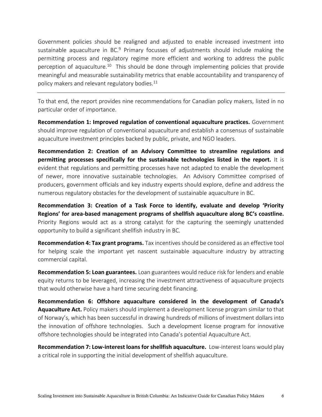Government policies should be realigned and adjusted to enable increased investment into sustainable aquaculture in BC. $9$  Primary focusses of adjustments should include making the permitting process and regulatory regime more efficient and working to address the public perception of aquaculture.<sup>10</sup> This should be done through implementing policies that provide meaningful and measurable sustainability metrics that enable accountability and transparency of policy makers and relevant regulatory bodies. 11

To that end, the report provides nine recommendations for Canadian policy makers, listed in no particular order of importance.

**Recommendation 1: Improved regulation of conventional aquaculture practices.** Government should improve regulation of conventional aquaculture and establish a consensus of sustainable aquaculture investment principles backed by public, private, and NGO leaders.

**Recommendation 2: Creation of an Advisory Committee to streamline regulations and permitting processes specifically for the sustainable technologies listed in the report.** It is evident that regulations and permitting processes have not adapted to enable the development of newer, more innovative sustainable technologies. An Advisory Committee comprised of producers, government officials and key industry experts should explore, define and address the numerous regulatory obstacles for the development of sustainable aquaculture in BC.

**Recommendation 3: Creation of a Task Force to identify, evaluate and develop 'Priority Regions' for area-based management programs of shellfish aquaculture along BC's coastline.** Priority Regions would act as a strong catalyst for the capturing the seemingly unattended opportunity to build a significant shellfish industry in BC.

**Recommendation 4: Tax grant programs.** Tax incentives should be considered as an effective tool for helping scale the important yet nascent sustainable aquaculture industry by attracting commercial capital.

**Recommendation 5: Loan guarantees.** Loan guarantees would reduce risk for lenders and enable equity returns to be leveraged, increasing the investment attractiveness of aquaculture projects that would otherwise have a hard time securing debt financing.

**Recommendation 6: Offshore aquaculture considered in the development of Canada's Aquaculture Act.** Policy makers should implement a development license program similar to that of Norway's, which has been successful in drawing hundreds of millions of investment dollars into the innovation of offshore technologies. Such a development license program for innovative offshore technologies should be integrated into Canada's potential Aquaculture Act.

**Recommendation 7: Low-interest loans for shellfish aquaculture.** Low-interest loans would play a critical role in supporting the initial development of shellfish aquaculture.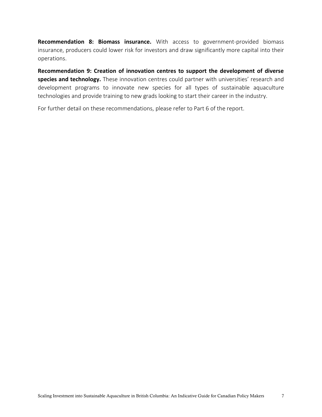**Recommendation 8: Biomass insurance.** With access to government-provided biomass insurance, producers could lower risk for investors and draw significantly more capital into their operations.

**Recommendation 9: Creation of innovation centres to support the development of diverse species and technology.** These innovation centres could partner with universities' research and development programs to innovate new species for all types of sustainable aquaculture technologies and provide training to new grads looking to start their career in the industry.

For further detail on these recommendations, please refer to Part 6 of the report.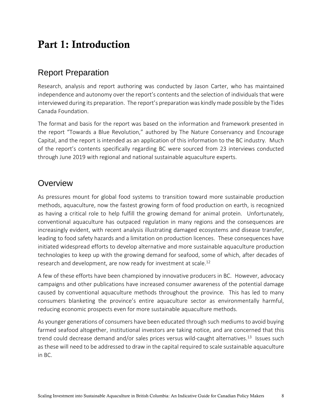## Part 1: Introduction

### Report Preparation

Research, analysis and report authoring was conducted by Jason Carter, who has maintained independence and autonomy over the report's contents and the selection of individuals that were interviewed during its preparation. The report's preparation was kindly made possible by the Tides Canada Foundation.

The format and basis for the report was based on the information and framework presented in the report "Towards a Blue Revolution," authored by The Nature Conservancy and Encourage Capital, and the report is intended as an application of this information to the BC industry. Much of the report's contents specifically regarding BC were sourced from 23 interviews conducted through June 2019 with regional and national sustainable aquaculture experts.

### **Overview**

As pressures mount for global food systems to transition toward more sustainable production methods, aquaculture, now the fastest growing form of food production on earth, is recognized as having a critical role to help fulfill the growing demand for animal protein. Unfortunately, conventional aquaculture has outpaced regulation in many regions and the consequences are increasingly evident, with recent analysis illustrating damaged ecosystems and disease transfer, leading to food safety hazards and a limitation on production licences. These consequences have initiated widespread efforts to develop alternative and more sustainable aquaculture production technologies to keep up with the growing demand for seafood, some of which, after decades of research and development, are now ready for investment at scale.<sup>12</sup>

A few of these efforts have been championed by innovative producers in BC. However, advocacy campaigns and other publications have increased consumer awareness of the potential damage caused by conventional aquaculture methods throughout the province. This has led to many consumers blanketing the province's entire aquaculture sector as environmentally harmful, reducing economic prospects even for more sustainable aquaculture methods.

As younger generations of consumers have been educated through such mediums to avoid buying farmed seafood altogether, institutional investors are taking notice, and are concerned that this trend could decrease demand and/or sales prices versus wild-caught alternatives.<sup>13</sup> Issues such as these will need to be addressed to draw in the capital required to scale sustainable aquaculture in BC.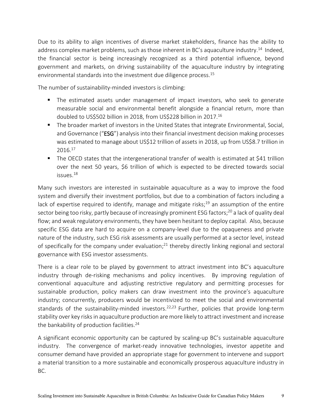Due to its ability to align incentives of diverse market stakeholders, finance has the ability to address complex market problems, such as those inherent in BC's aquaculture industry.<sup>14</sup> Indeed, the financial sector is being increasingly recognized as a third potential influence, beyond government and markets, on driving sustainability of the aquaculture industry by integrating environmental standards into the investment due diligence process. 15

The number of sustainability-minded investors is climbing:

- The estimated assets under management of impact investors, who seek to generate measurable social and environmental benefit alongside a financial return, more than doubled to US\$502 billion in 2018, from US\$228 billion in 2017.<sup>16</sup>
- The broader market of investors in the United States that integrate Environmental, Social, and Governance ("ESG") analysis into their financial investment decision making processes was estimated to manage about US\$12 trillion of assets in 2018, up from US\$8.7 trillion in 2016.<sup>17</sup>
- The OECD states that the intergenerational transfer of wealth is estimated at \$41 trillion over the next 50 years, \$6 trillion of which is expected to be directed towards social issues.<sup>18</sup>

Many such investors are interested in sustainable aquaculture as a way to improve the food system and diversify their investment portfolios, but due to a combination of factors including a lack of expertise required to identify, manage and mitigate risks;<sup>19</sup> an assumption of the entire sector being too risky, partly because of increasingly prominent ESG factors;<sup>20</sup> a lack of quality deal flow; and weak regulatory environments, they have been hesitant to deploy capital. Also, because specific ESG data are hard to acquire on a company-level due to the opaqueness and private nature of the industry, such ESG risk assessments are usually performed at a sector level, instead of specifically for the company under evaluation;<sup>21</sup> thereby directly linking regional and sectoral governance with ESG investor assessments.

There is a clear role to be played by government to attract investment into BC's aquaculture industry through de-risking mechanisms and policy incentives. By improving regulation of conventional aquaculture and adjusting restrictive regulatory and permitting processes for sustainable production, policy makers can draw investment into the province's aquaculture industry; concurrently, producers would be incentivized to meet the social and environmental standards of the sustainability-minded investors.<sup>22,23</sup> Further, policies that provide long-term stability over key risksin aquaculture production are more likely to attract investment and increase the bankability of production facilities.<sup>24</sup>

A significant economic opportunity can be captured by scaling-up BC's sustainable aquaculture industry. The convergence of market-ready innovative technologies, investor appetite and consumer demand have provided an appropriate stage for government to intervene and support a material transition to a more sustainable and economically prosperous aquaculture industry in BC.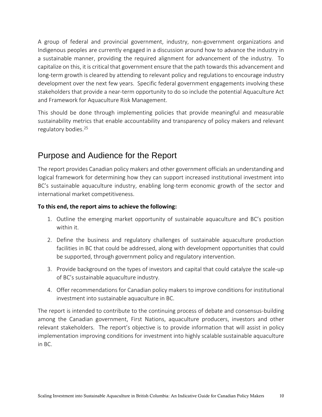A group of federal and provincial government, industry, non-government organizations and Indigenous peoples are currently engaged in a discussion around how to advance the industry in a sustainable manner, providing the required alignment for advancement of the industry. To capitalize on this, it is critical that government ensure that the path towards this advancement and long-term growth is cleared by attending to relevant policy and regulations to encourage industry development over the next few years. Specific federal government engagements involving these stakeholders that provide a near-term opportunity to do so include the potential Aquaculture Act and Framework for Aquaculture Risk Management.

This should be done through implementing policies that provide meaningful and measurable sustainability metrics that enable accountability and transparency of policy makers and relevant regulatory bodies. 25

### Purpose and Audience for the Report

The report provides Canadian policy makers and other government officials an understanding and logical framework for determining how they can support increased institutional investment into BC's sustainable aquaculture industry, enabling long-term economic growth of the sector and international market competitiveness.

#### **To this end, the report aims to achieve the following:**

- 1. Outline the emerging market opportunity of sustainable aquaculture and BC's position within it.
- 2. Define the business and regulatory challenges of sustainable aquaculture production facilities in BC that could be addressed, along with development opportunities that could be supported, through government policy and regulatory intervention.
- 3. Provide background on the types of investors and capital that could catalyze the scale-up of BC's sustainable aquaculture industry.
- 4. Offer recommendations for Canadian policy makers to improve conditions for institutional investment into sustainable aquaculture in BC.

The report is intended to contribute to the continuing process of debate and consensus-building among the Canadian government, First Nations, aquaculture producers, investors and other relevant stakeholders. The report's objective is to provide information that will assist in policy implementation improving conditions for investment into highly scalable sustainable aquaculture in BC.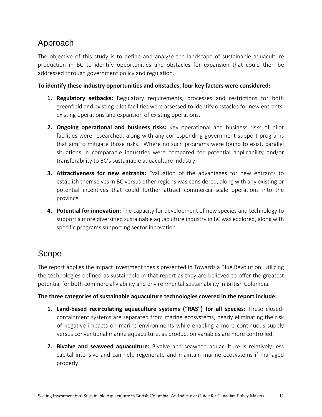## Approach

The objective of this study is to define and analyze the landscape of sustainable aquaculture production in BC to identify opportunities and obstacles for expansion that could then be addressed through government policy and regulation.

#### **To identify these industry opportunities and obstacles, four key factors were considered:**

- **1. Regulatory setbacks:** Regulatory requirements, processes and restrictions for both greenfield and existing pilot facilities were assessed to identify obstacles for new entrants, existing operations and expansion of existing operations.
- **2. Ongoing operational and business risks:** Key operational and business risks of pilot facilities were researched, along with any corresponding government support programs that aim to mitigate those risks. Where no such programs were found to exist, parallel situations in comparable industries were compared for potential applicability and/or transferability to BC's sustainable aquaculture industry.
- **3. Attractiveness for new entrants:** Evaluation of the advantages for new entrants to establish themselves in BC versus other regions was considered, along with any existing or potential incentives that could further attract commercial-scale operations into the province.
- **4. Potential for innovation:** The capacity for development of new species and technology to support a more diversified sustainable aquaculture industry in BC was explored, along with specific programs supporting sector innovation.

### Scope

The report applies the impact investment thesis presented in Towards a Blue Revolution, utilizing the technologies defined as sustainable in that report as they are believed to offer the greatest potential for both commercial viability and environmental sustainability in British Columbia.

#### **The three categories of sustainable aquaculture technologies covered in the report include:**

- **1. Land-based recirculating aquaculture systems ("RAS") for all species:** These closedcontainment systems are separated from marine ecosystems, nearly eliminating the risk of negative impacts on marine environments while enabling a more continuous supply versus conventional marine aquaculture, as production variables are more controlled.
- **2. Bivalve and seaweed aquaculture:** Bivalve and seaweed aquaculture is relatively less capital intensive and can help regenerate and maintain marine ecosystems if managed properly.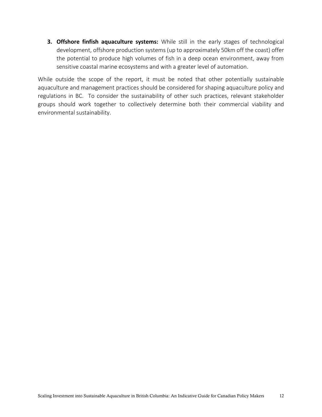**3. Offshore finfish aquaculture systems:** While still in the early stages of technological development, offshore production systems (up to approximately 50km off the coast) offer the potential to produce high volumes of fish in a deep ocean environment, away from sensitive coastal marine ecosystems and with a greater level of automation.

While outside the scope of the report, it must be noted that other potentially sustainable aquaculture and management practices should be considered for shaping aquaculture policy and regulations in BC. To consider the sustainability of other such practices, relevant stakeholder groups should work together to collectively determine both their commercial viability and environmental sustainability.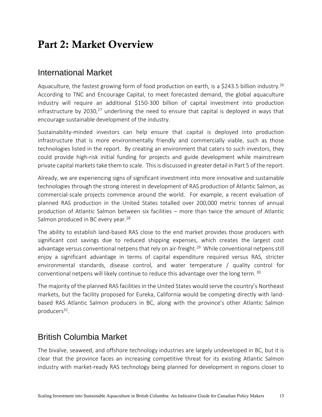## Part 2: Market Overview

### International Market

Aquaculture, the fastest growing form of food production on earth, is a \$243.5 billion industry.<sup>26</sup> According to TNC and Encourage Capital, to meet forecasted demand, the global aquaculture industry will require an additional \$150-300 billion of capital investment into production infrastructure by 2030,<sup>27</sup> underlining the need to ensure that capital is deployed in ways that encourage sustainable development of the industry.

Sustainability-minded investors can help ensure that capital is deployed into production infrastructure that is more environmentally friendly and commercially viable, such as those technologies listed in the report. By creating an environment that caters to such investors, they could provide high-risk initial funding for projects and guide development while mainstream private capital markets take them to scale. This is discussed in greater detail in Part 5 of the report.

Already, we are experiencing signs of significant investment into more innovative and sustainable technologies through the strong interest in development of RAS production of Atlantic Salmon, as commercial-scale projects commence around the world. For example, a recent evaluation of planned RAS production in the United States totalled over 200,000 metric tonnes of annual production of Atlantic Salmon between six facilities – more than twice the amount of Atlantic Salmon produced in BC every year.<sup>28</sup>

The ability to establish land-based RAS close to the end market provides those producers with significant cost savings due to reduced shipping expenses, which creates the largest cost advantage versus conventional netpens that rely on air-freight.<sup>29</sup> While conventional netpens still enjoy a significant advantage in terms of capital expenditure required versus RAS, stricter environmental standards, disease control, and water temperature / quality control for conventional netpens will likely continue to reduce this advantage over the long term. <sup>30</sup>

The majority of the planned RAS facilities in the United States would serve the country's Northeast markets, but the facility proposed for Eureka, California would be competing directly with landbased RAS Atlantic Salmon producers in BC, along with the province's other Atlantic Salmon producers<sup>31</sup>.

### British Columbia Market

The bivalve, seaweed, and offshore technology industries are largely undeveloped in BC, but it is clear that the province faces an increasing competitive threat for its existing Atlantic Salmon industry with market-ready RAS technology being planned for development in regions closer to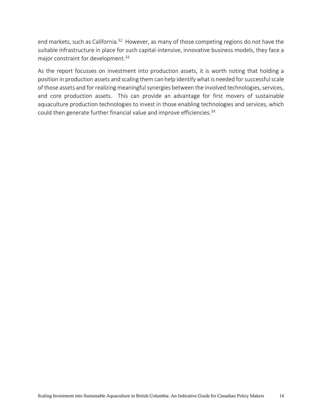end markets, such as California.<sup>32</sup> However, as many of those competing regions do not have the suitable infrastructure in place for such capital-intensive, innovative business models, they face a major constraint for development. 33

As the report focusses on investment into production assets, it is worth noting that holding a position in production assets and scaling them can help identify what is needed for successful scale of those assets and for realizing meaningful synergies between the involved technologies, services, and core production assets. This can provide an advantage for first movers of sustainable aquaculture production technologies to invest in those enabling technologies and services, which could then generate further financial value and improve efficiencies.<sup>34</sup>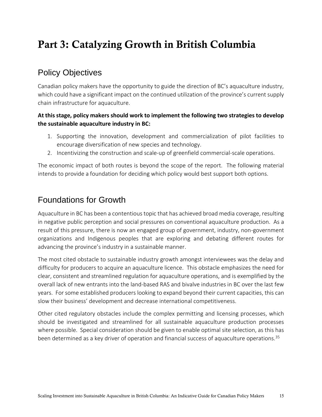## Part 3: Catalyzing Growth in British Columbia

## Policy Objectives

Canadian policy makers have the opportunity to guide the direction of BC's aquaculture industry, which could have a significant impact on the continued utilization of the province's current supply chain infrastructure for aquaculture.

#### **At this stage, policy makers should work to implement the following two strategies to develop the sustainable aquaculture industry in BC:**

- 1. Supporting the innovation, development and commercialization of pilot facilities to encourage diversification of new species and technology.
- 2. Incentivizing the construction and scale-up of greenfield commercial-scale operations.

The economic impact of both routes is beyond the scope of the report. The following material intends to provide a foundation for deciding which policy would best support both options.

### Foundations for Growth

Aquaculture in BC has been a contentious topic that has achieved broad media coverage, resulting in negative public perception and social pressures on conventional aquaculture production. As a result of this pressure, there is now an engaged group of government, industry, non-government organizations and Indigenous peoples that are exploring and debating different routes for advancing the province's industry in a sustainable manner.

The most cited obstacle to sustainable industry growth amongst interviewees was the delay and difficulty for producers to acquire an aquaculture licence. This obstacle emphasizes the need for clear, consistent and streamlined regulation for aquaculture operations, and is exemplified by the overall lack of new entrants into the land-based RAS and bivalve industries in BC over the last few years. For some established producers looking to expand beyond their current capacities, this can slow their business' development and decrease international competitiveness.

Other cited regulatory obstacles include the complex permitting and licensing processes, which should be investigated and streamlined for all sustainable aquaculture production processes where possible. Special consideration should be given to enable optimal site selection, as this has been determined as a key driver of operation and financial success of aquaculture operations.<sup>35</sup>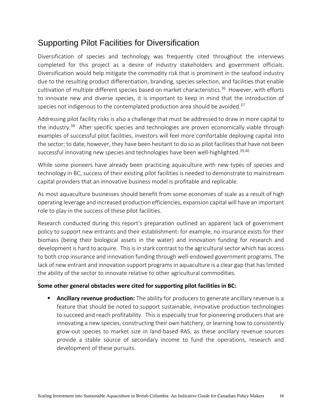### Supporting Pilot Facilities for Diversification

Diversification of species and technology was frequently cited throughout the interviews completed for this project as a desire of industry stakeholders and government officials. Diversification would help mitigate the commodity risk that is prominent in the seafood industry due to the resulting product differentiation, branding, species selection, and facilities that enable cultivation of multiple different species based on market characteristics. 36 However, with efforts to innovate new and diverse species, it is important to keep in mind that the introduction of species not indigenous to the contemplated production area should be avoided.<sup>37</sup>

Addressing pilot facility risks is also a challenge that must be addressed to draw in more capital to the industry.<sup>38</sup> After specific species and technologies are proven economically viable through examples of successful pilot facilities, investors will feel more comfortable deploying capital into the sector; to date, however, they have been hesitant to do so as pilot facilities that have not been successful innovating new species and technologies have been well-highlighted.<sup>39,40</sup>

While some pioneers have already been practicing aquaculture with new types of species and technology in BC, success of their existing pilot facilities is needed to demonstrate to mainstream capital providers that an innovative business model is profitable and replicable.

As most aquaculture businesses should benefit from some economies of scale as a result of high operating leverage and increased production efficiencies, expansion capital will have an important role to play in the success of these pilot facilities.

Research conducted during this report's preparation outlined an apparent lack of government policy to support new entrants and their establishment: for example, no insurance exists for their biomass (being their biological assets in the water) and innovation funding for research and development is hard to acquire. This is in stark contrast to the agricultural sector which has access to both crop insurance and innovation funding through well-endowed government programs. The lack of new entrant and innovation support programs in aquaculture is a clear gap that has limited the ability of the sector to innovate relative to other agricultural commodities.

#### **Some other general obstacles were cited for supporting pilot facilities in BC:**

Ancillary revenue production: The ability for producers to generate ancillary revenue is a feature that should be noted to support sustainable, innovative production technologies to succeed and reach profitability. This is especially true for pioneering producers that are innovating a new species, constructing their own hatchery, or learning how to consistently grow-out species to market size in land-based RAS, as these ancillary revenue sources provide a stable source of secondary income to fund the operations, research and development of these pursuits.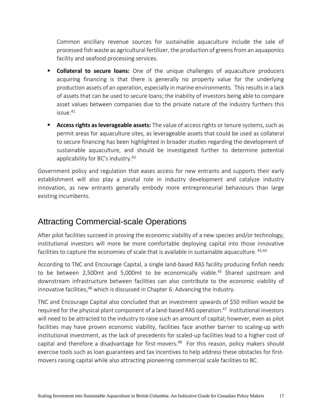Common ancillary revenue sources for sustainable aquaculture include the sale of processed fish waste as agricultural fertilizer, the production of greens from an aquaponics facility and seafood processing services.

- **EXTE:** Collateral to secure loans: One of the unique challenges of aquaculture producers acquiring financing is that there is generally no property value for the underlying production assets of an operation, especially in marine environments. This results in a lack of assets that can be used to secure loans; the inability of investors being able to compare asset values between companies due to the private nature of the industry furthers this issue. 41
- **EXP** Access rights as leverageable assets: The value of access rights or tenure systems, such as permit areas for aquaculture sites, as leverageable assets that could be used as collateral to secure financing has been highlighted in broader studies regarding the development of sustainable aquaculture, and should be investigated further to determine potential applicability for BC's industry.<sup>42</sup>

Government policy and regulation that eases access for new entrants and supports their early establishment will also play a pivotal role in industry development and catalyze industry innovation, as new entrants generally embody more entrepreneurial behaviours than large existing incumbents.

### Attracting Commercial-scale Operations

After pilot facilities succeed in proving the economic viability of a new species and/or technology, institutional investors will more be more comfortable deploying capital into those innovative facilities to capture the economies of scale that is available in sustainable aquaculture.  $43,44$ 

According to TNC and Encourage Capital, a single land-based RAS facility producing finfish needs to be between 2,500mt and 5,000mt to be economically viable.<sup>45</sup> Shared upstream and downstream infrastructure between facilities can also contribute to the economic viability of innovative facilities,<sup>46</sup> which is discussed in Chapter 6: Advancing the Industry.

TNC and Encourage Capital also concluded that an investment upwards of \$50 million would be required for the physical plant component of a land-based RAS operation.<sup>47</sup> Institutional investors will need to be attracted to the industry to raise such an amount of capital; however, even as pilot facilities may have proven economic viability, facilities face another barrier to scaling-up with institutional investment, as the lack of precedents for scaled-up facilities lead to a higher cost of capital and therefore a disadvantage for first-movers. 48 For this reason, policy makers should exercise tools such as loan guarantees and tax incentives to help address these obstacles for firstmovers raising capital while also attracting pioneering commercial scale facilities to BC.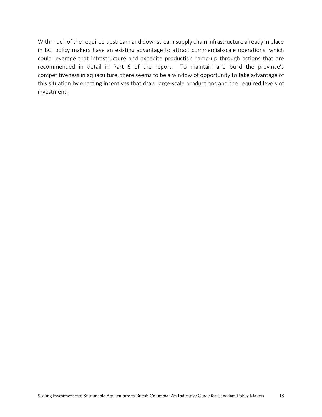With much of the required upstream and downstream supply chain infrastructure already in place in BC, policy makers have an existing advantage to attract commercial-scale operations, which could leverage that infrastructure and expedite production ramp-up through actions that are recommended in detail in Part 6 of the report. To maintain and build the province's competitiveness in aquaculture, there seems to be a window of opportunity to take advantage of this situation by enacting incentives that draw large-scale productions and the required levels of investment.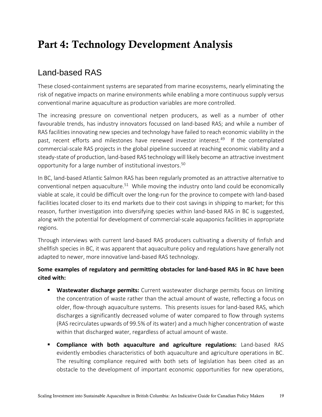## Part 4: Technology Development Analysis

## Land-based RAS

These closed-containment systems are separated from marine ecosystems, nearly eliminating the risk of negative impacts on marine environments while enabling a more continuous supply versus conventional marine aquaculture as production variables are more controlled.

The increasing pressure on conventional netpen producers, as well as a number of other favourable trends, has industry innovators focussed on land-based RAS; and while a number of RAS facilities innovating new species and technology have failed to reach economic viability in the past, recent efforts and milestones have renewed investor interest.<sup>49</sup> If the contemplated commercial-scale RAS projects in the global pipeline succeed at reaching economic viability and a steady-state of production, land-based RAS technology will likely become an attractive investment opportunity for a large number of institutional investors. 50

In BC, land-based Atlantic Salmon RAS has been regularly promoted as an attractive alternative to conventional netpen aquaculture.<sup>51</sup> While moving the industry onto land could be economically viable at scale, it could be difficult over the long-run for the province to compete with land-based facilities located closer to its end markets due to their cost savings in shipping to market; for this reason, further investigation into diversifying species within land-based RAS in BC is suggested, along with the potential for development of commercial-scale aquaponics facilities in appropriate regions.

Through interviews with current land-based RAS producers cultivating a diversity of finfish and shellfish species in BC, it was apparent that aquaculture policy and regulations have generally not adapted to newer, more innovative land-based RAS technology.

### **Some examples of regulatory and permitting obstacles for land-based RAS in BC have been cited with:**

- **E** Wastewater discharge permits: Current wastewater discharge permits focus on limiting the concentration of waste rather than the actual amount of waste, reflecting a focus on older, flow-through aquaculture systems. This presents issues for land-based RAS, which discharges a significantly decreased volume of water compared to flow through systems (RAS recirculates upwards of 99.5% of its water) and a much higher concentration of waste within that discharged water, regardless of actual amount of waste.
- **Compliance with both aquaculture and agriculture regulations:** Land-based RAS evidently embodies characteristics of both aquaculture and agriculture operations in BC. The resulting compliance required with both sets of legislation has been cited as an obstacle to the development of important economic opportunities for new operations,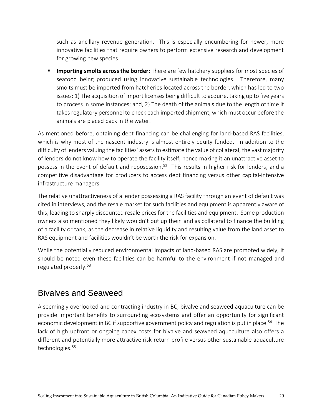such as ancillary revenue generation. This is especially encumbering for newer, more innovative facilities that require owners to perform extensive research and development for growing new species.

**EXTER** Importing smolts across the border: There are few hatchery suppliers for most species of seafood being produced using innovative sustainable technologies. Therefore, many smolts must be imported from hatcheries located across the border, which has led to two issues: 1) The acquisition of import licenses being difficult to acquire, taking up to five years to process in some instances; and, 2) The death of the animals due to the length of time it takes regulatory personnel to check each imported shipment, which must occur before the animals are placed back in the water.

As mentioned before, obtaining debt financing can be challenging for land-based RAS facilities, which is why most of the nascent industry is almost entirely equity funded. In addition to the difficulty of lenders valuing the facilities' assets to estimate the value of collateral, the vast majority of lenders do not know how to operate the facility itself, hence making it an unattractive asset to possess in the event of default and reposession.<sup>52</sup> This results in higher risk for lenders, and a competitive disadvantage for producers to access debt financing versus other capital-intensive infrastructure managers.

The relative unattractiveness of a lender possessing a RAS facility through an event of default was cited in interviews, and the resale market for such facilities and equipment is apparently aware of this, leading to sharply discounted resale prices for the facilities and equipment. Some production owners also mentioned they likely wouldn't put up their land as collateral to finance the building of a facility or tank, as the decrease in relative liquidity and resulting value from the land asset to RAS equipment and facilities wouldn't be worth the risk for expansion.

While the potentially reduced environmental impacts of land-based RAS are promoted widely, it should be noted even these facilities can be harmful to the environment if not managed and regulated properly. 53

### Bivalves and Seaweed

A seemingly overlooked and contracting industry in BC, bivalve and seaweed aquaculture can be provide important benefits to surrounding ecosystems and offer an opportunity for significant economic development in BC if supportive government policy and regulation is put in place. <sup>54</sup> The lack of high upfront or ongoing capex costs for bivalve and seaweed aquaculture also offers a different and potentially more attractive risk-return profile versus other sustainable aquaculture technologies. 55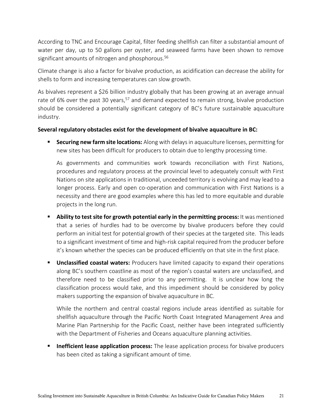According to TNC and Encourage Capital, filter feeding shellfish can filter a substantial amount of water per day, up to 50 gallons per oyster, and seaweed farms have been shown to remove significant amounts of nitrogen and phosphorous. 56

Climate change is also a factor for bivalve production, as acidification can decrease the ability for shells to form and increasing temperatures can slow growth.

As bivalves represent a \$26 billion industry globally that has been growing at an average annual rate of 6% over the past 30 years,<sup>57</sup> and demand expected to remain strong, bivalve production should be considered a potentially significant category of BC's future sustainable aquaculture industry.

#### **Several regulatory obstacles exist for the development of bivalve aquaculture in BC:**

**EXECUTE:** Securing new farm site locations: Along with delays in aquaculture licenses, permitting for new sites has been difficult for producers to obtain due to lengthy processing time.

As governments and communities work towards reconciliation with First Nations, procedures and regulatory process at the provincial level to adequately consult with First Nations on site applications in traditional, unceeded territory is evolving and may lead to a longer process. Early and open co-operation and communication with First Nations is a necessity and there are good examples where this has led to more equitable and durable projects in the long run.

- **Ability to test site for growth potential early in the permitting process:** It was mentioned that a series of hurdles had to be overcome by bivalve producers before they could perform an initial test for potential growth of their species at the targeted site. This leads to a significant investment of time and high-risk capital required from the producer before it's known whether the species can be produced efficiently on that site in the first place.
- **E** Unclassified coastal waters: Producers have limited capacity to expand their operations along BC's southern coastline as most of the region's coastal waters are unclassified, and therefore need to be classified prior to any permitting. It is unclear how long the classification process would take, and this impediment should be considered by policy makers supporting the expansion of bivalve aquaculture in BC.

While the northern and central coastal regions include areas identified as suitable for shellfish aquaculture through the Pacific North Coast Integrated Management Area and Marine Plan Partnership for the Pacific Coast, neither have been integrated sufficiently with the Department of Fisheries and Oceans aquaculture planning activities.

**EXTED Inefficient lease application process:** The lease application process for bivalve producers has been cited as taking a significant amount of time.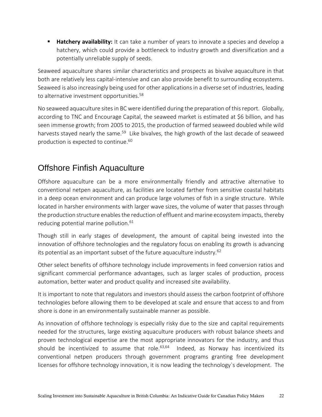**E** Hatchery availability: It can take a number of years to innovate a species and develop a hatchery, which could provide a bottleneck to industry growth and diversification and a potentially unreliable supply of seeds.

Seaweed aquaculture shares similar characteristics and prospects as bivalve aquaculture in that both are relatively less capital-intensive and can also provide benefit to surrounding ecosystems. Seaweed is also increasingly being used for other applications in a diverse set of industries, leading to alternative investment opportunities. 58

No seaweed aquaculture sites in BC were identified during the preparation of this report. Globally, according to TNC and Encourage Capital, the seaweed market is estimated at \$6 billion, and has seen immense growth; from 2005 to 2015, the production of farmed seaweed doubled while wild harvests stayed nearly the same.<sup>59</sup> Like bivalves, the high growth of the last decade of seaweed production is expected to continue. 60

### Offshore Finfish Aquaculture

Offshore aquaculture can be a more environmentally friendly and attractive alternative to conventional netpen aquaculture, as facilities are located farther from sensitive coastal habitats in a deep ocean environment and can produce large volumes of fish in a single structure. While located in harsher environments with larger wave sizes, the volume of water that passes through the production structure enables the reduction of effluent and marine ecosystem impacts, thereby reducing potential marine pollution. 61

Though still in early stages of development, the amount of capital being invested into the innovation of offshore technologies and the regulatory focus on enabling its growth is advancing its potential as an important subset of the future aquaculture industry.  $62$ 

Other select benefits of offshore technology include improvements in feed conversion ratios and significant commercial performance advantages, such as larger scales of production, process automation, better water and product quality and increased site availability.

It is important to note that regulators and investors should assess the carbon footprint of offshore technologies before allowing them to be developed at scale and ensure that access to and from shore is done in an environmentally sustainable manner as possible.

As innovation of offshore technology is especially risky due to the size and capital requirements needed for the structures, large existing aquaculture producers with robust balance sheets and proven technological expertise are the most appropriate innovators for the industry, and thus should be incentivized to assume that role. $63,64$  Indeed, as Norway has incentivized its conventional netpen producers through government programs granting free development licenses for offshore technology innovation, it is now leading the technology`s development. The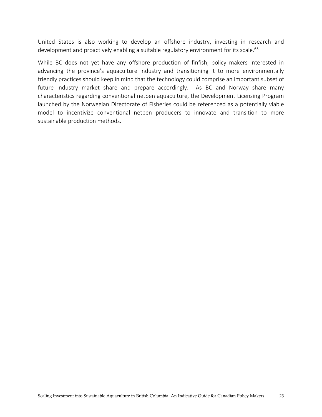United States is also working to develop an offshore industry, investing in research and development and proactively enabling a suitable regulatory environment for its scale.<sup>65</sup>

While BC does not yet have any offshore production of finfish, policy makers interested in advancing the province's aquaculture industry and transitioning it to more environmentally friendly practices should keep in mind that the technology could comprise an important subset of future industry market share and prepare accordingly. As BC and Norway share many characteristics regarding conventional netpen aquaculture, the Development Licensing Program launched by the Norwegian Directorate of Fisheries could be referenced as a potentially viable model to incentivize conventional netpen producers to innovate and transition to more sustainable production methods.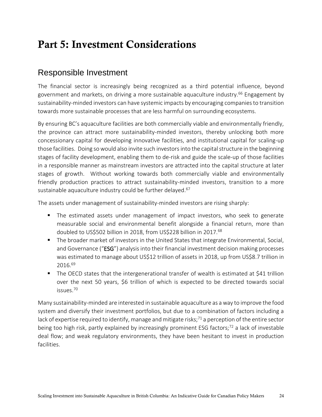## Part 5: Investment Considerations

### Responsible Investment

The financial sector is increasingly being recognized as a third potential influence, beyond government and markets, on driving a more sustainable aquaculture industry.<sup>66</sup> Engagement by sustainability-minded investors can have systemic impacts by encouraging companies to transition towards more sustainable processes that are less harmful on surrounding ecosystems.

By ensuring BC's aquaculture facilities are both commercially viable and environmentally friendly, the province can attract more sustainability-minded investors, thereby unlocking both more concessionary capital for developing innovative facilities, and institutional capital for scaling-up those facilities. Doing so would also invite such investors into the capital structure in the beginning stages of facility development, enabling them to de-risk and guide the scale-up of those facilities in a responsible manner as mainstream investors are attracted into the capital structure at later stages of growth. Without working towards both commercially viable and environmentally friendly production practices to attract sustainability-minded investors, transition to a more sustainable aquaculture industry could be further delayed.<sup>67</sup>

The assets under management of sustainability-minded investors are rising sharply:

- The estimated assets under management of impact investors, who seek to generate measurable social and environmental benefit alongside a financial return, more than doubled to US\$502 billion in 2018, from US\$228 billion in 2017.<sup>68</sup>
- The broader market of investors in the United States that integrate Environmental, Social, and Governance ("ESG") analysis into their financial investment decision making processes was estimated to manage about US\$12 trillion of assets in 2018, up from US\$8.7 trillion in 2016.<sup>69</sup>
- The OECD states that the intergenerational transfer of wealth is estimated at \$41 trillion over the next 50 years, \$6 trillion of which is expected to be directed towards social issues.<sup>70</sup>

Many sustainability-minded are interested in sustainable aquaculture as a way to improve the food system and diversify their investment portfolios, but due to a combination of factors including a lack of expertise required to identify, manage and mitigate risks;<sup>71</sup> a perception of the entire sector being too high risk, partly explained by increasingly prominent ESG factors;<sup>72</sup> a lack of investable deal flow; and weak regulatory environments, they have been hesitant to invest in production facilities.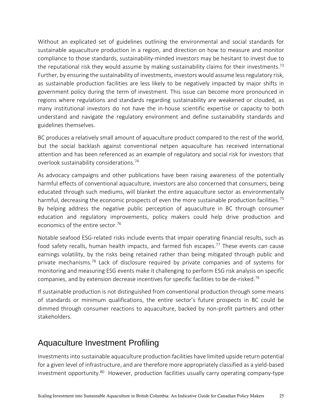Without an explicated set of guidelines outlining the environmental and social standards for sustainable aquaculture production in a region, and direction on how to measure and monitor compliance to those standards, sustainability-minded investors may be hesitant to invest due to the reputational risk they would assume by making sustainability claims for their investments.<sup>73</sup> Further, by ensuring the sustainability of investments, investors would assume less regulatory risk, as sustainable production facilities are less likely to be negatively impacted by major shifts in government policy during the term of investment. This issue can become more pronounced in regions where regulations and standards regarding sustainability are weakened or clouded, as many institutional investors do not have the in-house scientific expertise or capacity to both understand and navigate the regulatory environment and define sustainability standards and guidelines themselves.

BC produces a relatively small amount of aquaculture product compared to the rest of the world, but the social backlash against conventional netpen aquaculture has received international attention and has been referenced as an example of regulatory and social risk for investors that overlook sustainability considerations.<sup>74</sup>

As advocacy campaigns and other publications have been raising awareness of the potentially harmful effects of conventional aquaculture, investors are also concerned that consumers, being educated through such mediums, will blanket the entire aquaculture sector as environmentally harmful, decreasing the economic prospects of even the more sustainable production facilities.<sup>75</sup> By helping address the negative public perception of aquaculture in BC through consumer education and regulatory improvements, policy makers could help drive production and economics of the entire sector. 76

Notable seafood ESG-related risks include events that impair operating financial results, such as food safety recalls, human health impacts, and farmed fish escapes.<sup>77</sup> These events can cause earnings volatility, by the risks being retained rather than being mitigated through public and private mechanisms.<sup>78</sup> Lack of disclosure required by private companies and of systems for monitoring and measuring ESG events make it challenging to perform ESG risk analysis on specific companies, and by extension decrease incentives for specific facilities to be de-risked. 79

If sustainable production is not distinguished from conventional production through some means of standards or minimum qualifications, the entire sector's future prospects in BC could be dimmed through consumer reactions to aquaculture, backed by non-profit partners and other stakeholders.

### Aquaculture Investment Profiling

Investments into sustainable aquaculture production facilities have limited upside return potential for a given level of infrastructure, and are therefore more appropriately classified as a yield-based investment opportunity.<sup>80</sup> However, production facilities usually carry operating company-type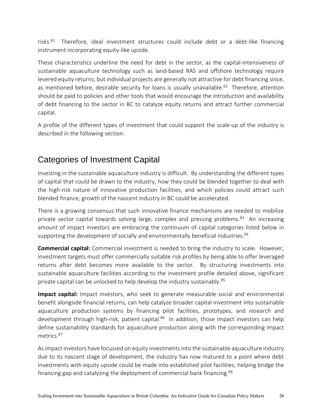risks.<sup>81</sup> Therefore, ideal investment structures could include debt or a debt-like financing instrument incorporating equity-like upside.

These characteristics underline the need for debt in the sector, as the capital-intensiveness of sustainable aquaculture technology such as land-based RAS and offshore technology require levered equity returns; but individual projects are generally not attractive for debt financing since, as mentioned before, desirable security for loans is usually unavailable.<sup>82</sup> Therefore, attention should be paid to policies and other tools that would encourage the introduction and availability of debt financing to the sector in BC to catalyze equity returns and attract further commercial capital.

A profile of the different types of investment that could support the scale-up of the industry is described in the following section.

### Categories of Investment Capital

Investing in the sustainable aquaculture industry is difficult. By understanding the different types of capital that could be drawn to the industry, how they could be blended together to deal with the high-risk nature of innovative production facilities, and which policies could attract such blended finance, growth of the nascent industry in BC could be accelerated.

There is a growing consensus that such innovative finance mechanisms are needed to mobilize private sector capital towards solving large, complex and pressing problems.<sup>83</sup> An increasing amount of impact investors are embracing the continuum of capital categories listed below in supporting the development of socially and environmentally beneficial industries.<sup>84</sup>

**Commercial capital:** Commercial investment is needed to bring the industry to scale. However, investment targets must offer commercially suitable risk profiles by being able to offer leveraged returns after debt becomes more available to the sector. By structuring investments into sustainable aquaculture facilities according to the investment profile detailed above, significant private capital can be unlocked to help develop the industry sustainably.<sup>85</sup>

**Impact capital:** Impact investors, who seek to generate measurable social and environmental benefit alongside financial returns, can help catalyze broader capital investment into sustainable aquaculture production systems by financing pilot facilities, prototypes, and research and development through high-risk, patient capital.<sup>86</sup> In addition, those impact investors can help define sustainability standards for aquaculture production along with the corresponding impact metrics<sup>87</sup>

As impact investors have focussed on equity investments into the sustainable aquaculture industry due to its nascent stage of development, the industry has now matured to a point where debt investments with equity upside could be made into established pilot facilities, helping bridge the financing gap and catalyzing the deployment of commercial bank financing.<sup>88</sup>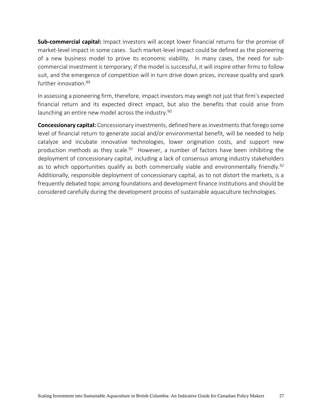**Sub-commercial capital:** Impact investors will accept lower financial returns for the promise of market-level impact in some cases. Such market-level impact could be defined as the pioneering of a new business model to prove its economic viability. In many cases, the need for subcommercial investment is temporary; if the model is successful, it will inspire other firms to follow suit, and the emergence of competition will in turn drive down prices, increase quality and spark further innovation.<sup>89</sup>

In assessing a pioneering firm, therefore, impact investors may weigh not just that firm's expected financial return and its expected direct impact, but also the benefits that could arise from launching an entire new model across the industry.<sup>90</sup>

**Concessionary capital:** Concessionary investments, defined here as investments that forego some level of financial return to generate social and/or environmental benefit, will be needed to help catalyze and incubate innovative technologies, lower origination costs, and support new production methods as they scale.<sup>91</sup> However, a number of factors have been inhibiting the deployment of concessionary capital, including a lack of consensus among industry stakeholders as to which opportunities qualify as both commercially viable and environmentally friendly.<sup>92</sup> Additionally, responsible deployment of concessionary capital, as to not distort the markets, is a frequently debated topic among foundations and development finance institutions and should be considered carefully during the development process of sustainable aquaculture technologies.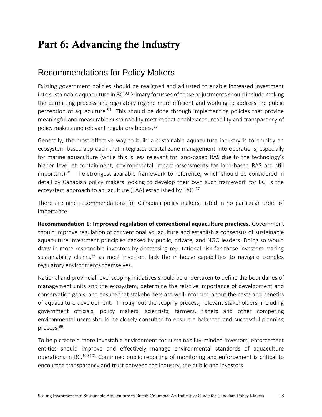## Part 6: Advancing the Industry

### Recommendations for Policy Makers

Existing government policies should be realigned and adjusted to enable increased investment into sustainable aquaculture in BC.<sup>93</sup> Primary focusses of these adjustments should include making the permitting process and regulatory regime more efficient and working to address the public perception of aquaculture.<sup>94</sup> This should be done through implementing policies that provide meaningful and measurable sustainability metrics that enable accountability and transparency of policy makers and relevant regulatory bodies. 95

Generally, the most effective way to build a sustainable aquaculture industry is to employ an ecosystem-based approach that integrates coastal zone management into operations, especially for marine aquaculture (while this is less relevant for land-based RAS due to the technology's higher level of containment, environmental impact assessments for land-based RAS are still important). 96 The strongest available framework to reference, which should be considered in detail by Canadian policy makers looking to develop their own such framework for BC, is the ecosystem approach to aquaculture (EAA) established by FAO.<sup>97</sup>

There are nine recommendations for Canadian policy makers, listed in no particular order of importance.

**Recommendation 1: Improved regulation of conventional aquaculture practices.** Government should improve regulation of conventional aquaculture and establish a consensus of sustainable aquaculture investment principles backed by public, private, and NGO leaders. Doing so would draw in more responsible investors by decreasing reputational risk for those investors making sustainability claims,<sup>98</sup> as most investors lack the in-house capabilities to navigate complex regulatory environments themselves.

National and provincial-level scoping initiatives should be undertaken to define the boundaries of management units and the ecosystem, determine the relative importance of development and conservation goals, and ensure that stakeholders are well-informed about the costs and benefits of aquaculture development. Throughout the scoping process, relevant stakeholders, including government officials, policy makers, scientists, farmers, fishers and other competing environmental users should be closely consulted to ensure a balanced and successful planning process. 99

To help create a more investable environment for sustainability-minded investors, enforcement entities should improve and effectively manage environmental standards of aquaculture operations in BC.<sup>100,101</sup> Continued public reporting of monitoring and enforcement is critical to encourage transparency and trust between the industry, the public and investors.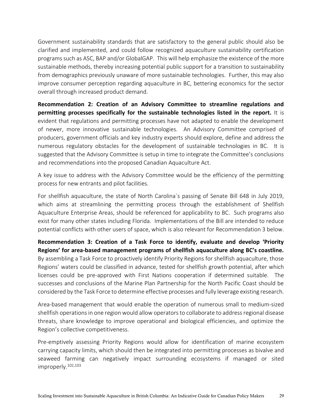Government sustainability standards that are satisfactory to the general public should also be clarified and implemented, and could follow recognized aquaculture sustainability certification programs such as ASC, BAP and/or GlobalGAP. This will help emphasize the existence of the more sustainable methods, thereby increasing potential public support for a transition to sustainability from demographics previously unaware of more sustainable technologies. Further, this may also improve consumer perception regarding aquaculture in BC, bettering economics for the sector overall through increased product demand.

**Recommendation 2: Creation of an Advisory Committee to streamline regulations and permitting processes specifically for the sustainable technologies listed in the report.** It is evident that regulations and permitting processes have not adapted to enable the development of newer, more innovative sustainable technologies. An Advisory Committee comprised of producers, government officials and key industry experts should explore, define and address the numerous regulatory obstacles for the development of sustainable technologies in BC. It is suggested that the Advisory Committee is setup in time to integrate the Committee's conclusions and recommendations into the proposed Canadian Aquaculture Act.

A key issue to address with the Advisory Committee would be the efficiency of the permitting process for new entrants and pilot facilities.

For shellfish aquaculture, the state of North Carolina`s passing of Senate Bill 648 in July 2019, which aims at streamlining the permitting process through the establishment of Shellfish Aquaculture Enterprise Areas, should be referenced for applicability to BC. Such programs also exist for many other states including Florida. Implementations of the Bill are intended to reduce potential conflicts with other users of space, which is also relevant for Recommendation 3 below.

**Recommendation 3: Creation of a Task Force to identify, evaluate and develop 'Priority Regions' for area-based management programs of shellfish aquaculture along BC's coastline.** By assembling a Task Force to proactively identify Priority Regions for shellfish aquaculture, those Regions' waters could be classified in advance, tested for shellfish growth potential, after which licenses could be pre-approved with First Nations cooperation if determined suitable. The successes and conclusions of the Marine Plan Partnership for the North Pacific Coast should be considered by the Task Force to determine effective processes and fully leverage existing research.

Area-based management that would enable the operation of numerous small to medium-sized shellfish operations in one region would allow operators to collaborate to address regional disease threats, share knowledge to improve operational and biological efficiencies, and optimize the Region's collective competitiveness.

Pre-emptively assessing Priority Regions would allow for identification of marine ecosystem carrying capacity limits, which should then be integrated into permitting processes as bivalve and seaweed farming can negatively impact surrounding ecosystems if managed or sited improperly. 102,103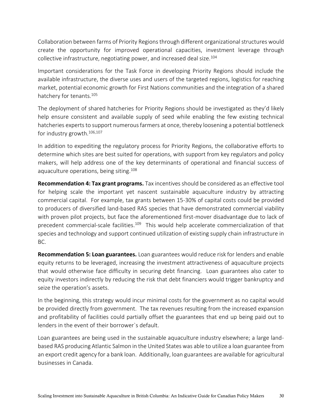Collaboration between farms of Priority Regions through different organizational structures would create the opportunity for improved operational capacities, investment leverage through collective infrastructure, negotiating power, and increased deal size.<sup>104</sup>

Important considerations for the Task Force in developing Priority Regions should include the available infrastructure, the diverse uses and users of the targeted regions, logistics for reaching market, potential economic growth for First Nations communities and the integration of a shared hatchery for tenants.<sup>105</sup>

The deployment of shared hatcheries for Priority Regions should be investigated as they'd likely help ensure consistent and available supply of seed while enabling the few existing technical hatcheries experts to support numerous farmers at once, thereby loosening a potential bottleneck for industry growth. 106,107

In addition to expediting the regulatory process for Priority Regions, the collaborative efforts to determine which sites are best suited for operations, with support from key regulators and policy makers, will help address one of the key determinants of operational and financial success of aquaculture operations, being siting.<sup>108</sup>

**Recommendation 4: Tax grant programs.** Tax incentives should be considered as an effective tool for helping scale the important yet nascent sustainable aquaculture industry by attracting commercial capital. For example, tax grants between 15-30% of capital costs could be provided to producers of diversified land-based RAS species that have demonstrated commercial viability with proven pilot projects, but face the aforementioned first-mover disadvantage due to lack of precedent commercial-scale facilities.<sup>109</sup> This would help accelerate commercialization of that species and technology and support continued utilization of existing supply chain infrastructure in BC.

**Recommendation 5: Loan guarantees.** Loan guarantees would reduce risk for lenders and enable equity returns to be leveraged, increasing the investment attractiveness of aquaculture projects that would otherwise face difficulty in securing debt financing. Loan guarantees also cater to equity investors indirectly by reducing the risk that debt financiers would trigger bankruptcy and seize the operation's assets.

In the beginning, this strategy would incur minimal costs for the government as no capital would be provided directly from government. The tax revenues resulting from the increased expansion and profitability of facilities could partially offset the guarantees that end up being paid out to lenders in the event of their borrower`s default.

Loan guarantees are being used in the sustainable aquaculture industry elsewhere; a large landbased RAS producing Atlantic Salmon in the United States was able to utilize a loan guarantee from an export credit agency for a bank loan. Additionally, loan guarantees are available for agricultural businesses in Canada.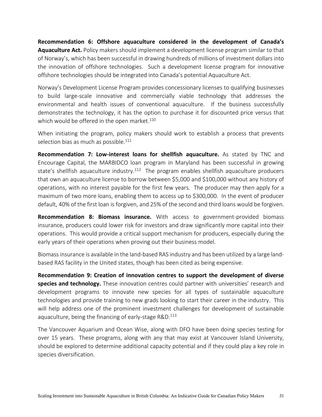**Recommendation 6: Offshore aquaculture considered in the development of Canada's Aquaculture Act.** Policy makers should implement a development license program similar to that of Norway's, which has been successful in drawing hundreds of millions of investment dollars into the innovation of offshore technologies. Such a development license program for innovative offshore technologies should be integrated into Canada's potential Aquaculture Act.

Norway's Development License Program provides concessionary licenses to qualifying businesses to build large-scale innovative and commercially viable technology that addresses the environmental and health issues of conventional aquaculture. If the business successfully demonstrates the technology, it has the option to purchase it for discounted price versus that which would be offered in the open market. $^{110}$ 

When initiating the program, policy makers should work to establish a process that prevents selection bias as much as possible.<sup>111</sup>

**Recommendation 7: Low-interest loans for shellfish aquaculture.** As stated by TNC and Encourage Capital, the MARBIDCO loan program in Maryland has been successful in growing state's shellfish aquaculture industry.<sup>112</sup> The program enables shellfish aquaculture producers that own an aquaculture license to borrow between \$5,000 and \$100,000 without any history of operations, with no interest payable for the first few years. The producer may then apply for a maximum of two more loans, enabling them to access up to \$300,000. In the event of producer default, 40% of the first loan is forgiven, and 25% of the second and third loans would be forgiven.

**Recommendation 8: Biomass insurance.** With access to government-provided biomass insurance, producers could lower risk for investors and draw significantly more capital into their operations. This would provide a critical support mechanism for producers, especially during the early years of their operations when proving out their business model.

Biomass insurance is available in the land-based RAS industry and has been utilized by a large landbased RAS facility in the United states, though has been cited as being expensive.

**Recommendation 9: Creation of innovation centres to support the development of diverse species and technology.** These innovation centres could partner with universities' research and development programs to innovate new species for all types of sustainable aquaculture technologies and provide training to new grads looking to start their career in the industry. This will help address one of the prominent investment challenges for development of sustainable aquaculture, being the financing of early-stage R&D.<sup>113</sup>

The Vancouver Aquarium and Ocean Wise, along with DFO have been doing species testing for over 15 years. These programs, along with any that may exist at Vancouver Island University, should be explored to determine additional capacity potential and if they could play a key role in species diversification.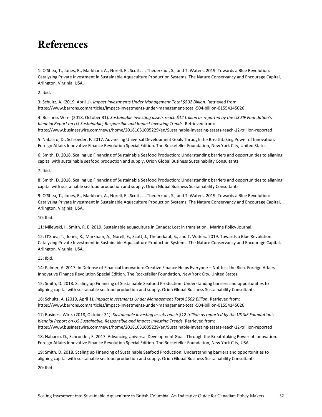## References

1: O'Shea, T., Jones, R., Markham, A., Norell, E., Scott, J., Theuerkauf, S., and T. Waters. 2019. Towards a Blue Revolution: Catalyzing Private Investment in Sustainable Aquaculture Production Systems. The Nature Conservancy and Encourage Capital, Arlington, Virginia, USA.

2: Ibid.

3: Schultz, A. (2019, April 1). *Impact Investments Under Management Total \$502 Billion*. Retrieved from: https://www.barrons.com/articles/impact-investments-under-management-total-504-billion-01554145026

4: Business Wire. (2018, October 31). *Sustainable investing assets reach \$12 trillion as reported by the US SIF Foundation's biennial Report on US Sustainable, Responsible and Impact Investing Trends.* Retrieved from: https://www.businesswire.com/news/home/20181031005229/en/Sustainable-investing-assets-reach-12-trillion-reported

5: Nabarro, D., Schroeder, F. 2017. Advancing Universal Development Goals Through the Breathtaking Power of Innovation. Foreign Affairs Innovative Finance Revolution Special Edition. The Rockefeller Foundation, New York City, United States.

6: Smith, D. 2018. Scaling up Financing of Sustainable Seafood Production: Understanding barriers and opportunities to aligning capital with sustainable seafood production and supply. Orion Global Business Sustainability Consultants.

7: Ibid.

8: Smith, D. 2018. Scaling up Financing of Sustainable Seafood Production: Understanding barriers and opportunities to aligning capital with sustainable seafood production and supply. Orion Global Business Sustainability Consultants.

9: O'Shea, T., Jones, R., Markham, A., Norell, E., Scott, J., Theuerkauf, S., and T. Waters. 2019. Towards a Blue Revolution: Catalyzing Private Investment in Sustainable Aquaculture Production Systems. The Nature Conservancy and Encourage Capital, Arlington, Virginia, USA.

10: Ibid.

11: Milewski, I., Smith, R. E. 2019. Sustainable aquaculture in Canada: Lost in translation. Marine Policy Journal.

12: O'Shea, T., Jones, R., Markham, A., Norell, E., Scott, J., Theuerkauf, S., and T. Waters. 2019. Towards a Blue Revolution: Catalyzing Private Investment in Sustainable Aquaculture Production Systems. The Nature Conservancy and Encourage Capital, Arlington, Virginia, USA.

13: Ibid.

14: Palmer, A. 2017. In Defense of Financial Innovation: Creative Finance Helps Everyone – Not Just the Rich. Foreign Affairs Innovative Finance Revolution Special Edition. The Rockefeller Foundation, New York City, United States.

15: Smith, D. 2018. Scaling up Financing of Sustainable Seafood Production: Understanding barriers and opportunities to aligning capital with sustainable seafood production and supply. Orion Global Business Sustainability Consultants.

16: Schultz, A. (2019, April 1). *Impact Investments Under Management Total \$502 Billion*. Retrieved from: https://www.barrons.com/articles/impact-investments-under-management-total-504-billion-01554145026

17: Business Wire. (2018, October 31). *Sustainable investing assets reach \$12 trillion as reported by the US SIF Foundation's biennial Report on US Sustainable, Responsible and Impact Investing Trends.* Retrieved from: https://www.businesswire.com/news/home/20181031005229/en/Sustainable-investing-assets-reach-12-trillion-reported

18: Nabarro, D., Schroeder, F. 2017. Advancing Universal Development Goals Through the Breathtaking Power of Innovation. Foreign Affairs Innovative Finance Revolution Special Edition. The Rockefeller Foundation, New York City, USA.

19: Smith, D. 2018. Scaling up Financing of Sustainable Seafood Production: Understanding barriers and opportunities to aligning capital with sustainable seafood production and supply. Orion Global Business Sustainability Consultants.

20: Ibid.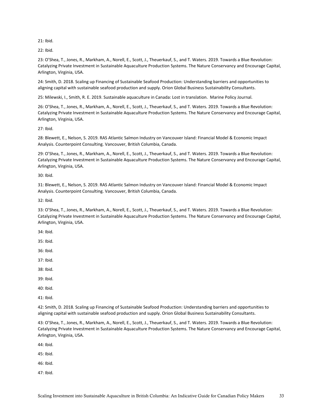21: Ibid.

22: Ibid.

23: O'Shea, T., Jones, R., Markham, A., Norell, E., Scott, J., Theuerkauf, S., and T. Waters. 2019. Towards a Blue Revolution: Catalyzing Private Investment in Sustainable Aquaculture Production Systems. The Nature Conservancy and Encourage Capital, Arlington, Virginia, USA.

24: Smith, D. 2018. Scaling up Financing of Sustainable Seafood Production: Understanding barriers and opportunities to aligning capital with sustainable seafood production and supply. Orion Global Business Sustainability Consultants.

25: Milewski, I., Smith, R. E. 2019. Sustainable aquaculture in Canada: Lost in translation. Marine Policy Journal.

26: O'Shea, T., Jones, R., Markham, A., Norell, E., Scott, J., Theuerkauf, S., and T. Waters. 2019. Towards a Blue Revolution: Catalyzing Private Investment in Sustainable Aquaculture Production Systems. The Nature Conservancy and Encourage Capital, Arlington, Virginia, USA.

27: Ibid.

28: Blewett, E., Nelson, S. 2019. RAS Atlantic Salmon Industry on Vancouver Island: Financial Model & Economic Impact Analysis. Counterpoint Consulting. Vancouver, British Columbia, Canada.

29: O'Shea, T., Jones, R., Markham, A., Norell, E., Scott, J., Theuerkauf, S., and T. Waters. 2019. Towards a Blue Revolution: Catalyzing Private Investment in Sustainable Aquaculture Production Systems. The Nature Conservancy and Encourage Capital, Arlington, Virginia, USA.

30: Ibid.

31: Blewett, E., Nelson, S. 2019. RAS Atlantic Salmon Industry on Vancouver Island: Financial Model & Economic Impact Analysis. Counterpoint Consulting. Vancouver, British Columbia, Canada.

32: Ibid.

33: O'Shea, T., Jones, R., Markham, A., Norell, E., Scott, J., Theuerkauf, S., and T. Waters. 2019. Towards a Blue Revolution: Catalyzing Private Investment in Sustainable Aquaculture Production Systems. The Nature Conservancy and Encourage Capital, Arlington, Virginia, USA.

34: Ibid.

35: Ibid.

36: Ibid.

37: Ibid.

38: Ibid.

39: Ibid.

40: Ibid.

41: Ibid.

42: Smith, D. 2018. Scaling up Financing of Sustainable Seafood Production: Understanding barriers and opportunities to aligning capital with sustainable seafood production and supply. Orion Global Business Sustainability Consultants.

43: O'Shea, T., Jones, R., Markham, A., Norell, E., Scott, J., Theuerkauf, S., and T. Waters. 2019. Towards a Blue Revolution: Catalyzing Private Investment in Sustainable Aquaculture Production Systems. The Nature Conservancy and Encourage Capital, Arlington, Virginia, USA.

44: Ibid.

45: Ibid.

46: Ibid.

47: Ibid.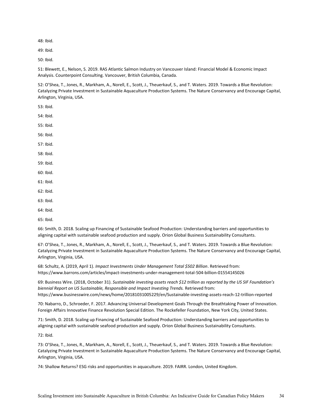48: Ibid.

49: Ibid.

50: Ibid.

51: Blewett, E., Nelson, S. 2019. RAS Atlantic Salmon Industry on Vancouver Island: Financial Model & Economic Impact Analysis. Counterpoint Consulting. Vancouver, British Columbia, Canada.

52: O'Shea, T., Jones, R., Markham, A., Norell, E., Scott, J., Theuerkauf, S., and T. Waters. 2019. Towards a Blue Revolution: Catalyzing Private Investment in Sustainable Aquaculture Production Systems. The Nature Conservancy and Encourage Capital, Arlington, Virginia, USA.

53: Ibid.

54: Ibid.

55: Ibid.

56: Ibid.

57: Ibid.

58: Ibid.

59: Ibid.

60: Ibid.

- 61: Ibid.
- 62: Ibid.
- 63: Ibid.

64: Ibid.

65: Ibid.

66: Smith, D. 2018. Scaling up Financing of Sustainable Seafood Production: Understanding barriers and opportunities to aligning capital with sustainable seafood production and supply. Orion Global Business Sustainability Consultants.

67: O'Shea, T., Jones, R., Markham, A., Norell, E., Scott, J., Theuerkauf, S., and T. Waters. 2019. Towards a Blue Revolution: Catalyzing Private Investment in Sustainable Aquaculture Production Systems. The Nature Conservancy and Encourage Capital, Arlington, Virginia, USA.

68: Schultz, A. (2019, April 1). *Impact Investments Under Management Total \$502 Billion*. Retrieved from: https://www.barrons.com/articles/impact-investments-under-management-total-504-billion-01554145026

69: Business Wire. (2018, October 31). *Sustainable investing assets reach \$12 trillion as reported by the US SIF Foundation's biennial Report on US Sustainable, Responsible and Impact Investing Trends.* Retrieved from: https://www.businesswire.com/news/home/20181031005229/en/Sustainable-investing-assets-reach-12-trillion-reported

70: Nabarro, D., Schroeder, F. 2017. Advancing Universal Development Goals Through the Breathtaking Power of Innovation. Foreign Affairs Innovative Finance Revolution Special Edition. The Rockefeller Foundation, New York City, United States.

71: Smith, D. 2018. Scaling up Financing of Sustainable Seafood Production: Understanding barriers and opportunities to aligning capital with sustainable seafood production and supply. Orion Global Business Sustainability Consultants.

72: Ibid.

73: O'Shea, T., Jones, R., Markham, A., Norell, E., Scott, J., Theuerkauf, S., and T. Waters. 2019. Towards a Blue Revolution: Catalyzing Private Investment in Sustainable Aquaculture Production Systems. The Nature Conservancy and Encourage Capital, Arlington, Virginia, USA.

74: Shallow Returns? ESG risks and opportunities in aquaculture. 2019. FAIRR. London, United Kingdom.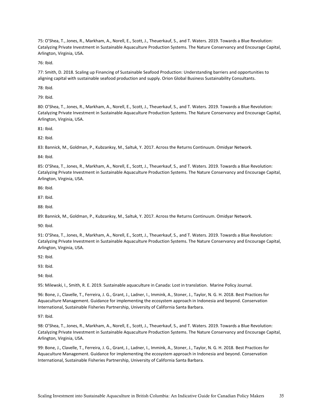75: O'Shea, T., Jones, R., Markham, A., Norell, E., Scott, J., Theuerkauf, S., and T. Waters. 2019. Towards a Blue Revolution: Catalyzing Private Investment in Sustainable Aquaculture Production Systems. The Nature Conservancy and Encourage Capital, Arlington, Virginia, USA.

76: Ibid.

77: Smith, D. 2018. Scaling up Financing of Sustainable Seafood Production: Understanding barriers and opportunities to aligning capital with sustainable seafood production and supply. Orion Global Business Sustainability Consultants.

78: Ibid.

79: Ibid.

80: O'Shea, T., Jones, R., Markham, A., Norell, E., Scott, J., Theuerkauf, S., and T. Waters. 2019. Towards a Blue Revolution: Catalyzing Private Investment in Sustainable Aquaculture Production Systems. The Nature Conservancy and Encourage Capital, Arlington, Virginia, USA.

81: Ibid.

82: Ibid.

83: Bannick, M., Goldman, P., Kubzanksy, M., Saltuk, Y. 2017. Across the Returns Continuum. Omidyar Network.

84: Ibid.

85: O'Shea, T., Jones, R., Markham, A., Norell, E., Scott, J., Theuerkauf, S., and T. Waters. 2019. Towards a Blue Revolution: Catalyzing Private Investment in Sustainable Aquaculture Production Systems. The Nature Conservancy and Encourage Capital, Arlington, Virginia, USA.

86: Ibid.

87: Ibid.

88: Ibid.

89: Bannick, M., Goldman, P., Kubzanksy, M., Saltuk, Y. 2017. Across the Returns Continuum. Omidyar Network.

90: Ibid.

91: O'Shea, T., Jones, R., Markham, A., Norell, E., Scott, J., Theuerkauf, S., and T. Waters. 2019. Towards a Blue Revolution: Catalyzing Private Investment in Sustainable Aquaculture Production Systems. The Nature Conservancy and Encourage Capital, Arlington, Virginia, USA.

92: Ibid.

93: Ibid.

94: Ibid.

95: Milewski, I., Smith, R. E. 2019. Sustainable aquaculture in Canada: Lost in translation. Marine Policy Journal.

96: Bone, J., Clavelle, T., Ferreira, J. G., Grant, J., Ladner, I., Immink, A., Stoner, J., Taylor, N. G. H. 2018. Best Practices for Aquaculture Management. Guidance for implementing the ecosystem approach in Indonesia and beyond. Conservation International, Sustainable Fisheries Partnership, University of California Santa Barbara.

97: Ibid.

98: O'Shea, T., Jones, R., Markham, A., Norell, E., Scott, J., Theuerkauf, S., and T. Waters. 2019. Towards a Blue Revolution: Catalyzing Private Investment in Sustainable Aquaculture Production Systems. The Nature Conservancy and Encourage Capital, Arlington, Virginia, USA.

99: Bone, J., Clavelle, T., Ferreira, J. G., Grant, J., Ladner, I., Immink, A., Stoner, J., Taylor, N. G. H. 2018. Best Practices for Aquaculture Management. Guidance for implementing the ecosystem approach in Indonesia and beyond. Conservation International, Sustainable Fisheries Partnership, University of California Santa Barbara.